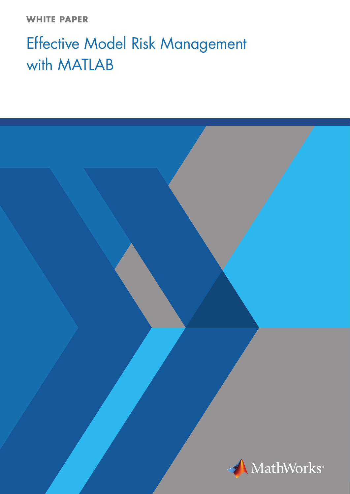**WHITE PAPER**

# Effective Model Risk Management with MATLAB

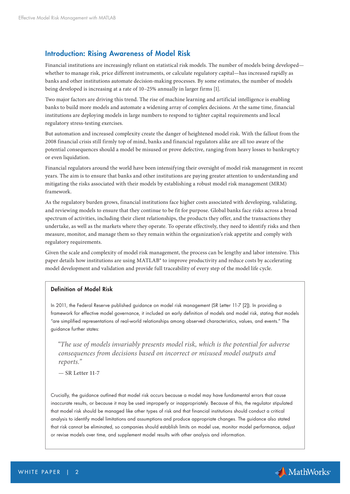## Introduction: Rising Awareness of Model Risk

Financial institutions are increasingly reliant on statistical risk models. The number of models being developed whether to manage risk, price different instruments, or calculate regulatory capital—has increased rapidly as banks and other institutions automate decision-making processes. By some estimates, the number of models being developed is increasing at a rate of 10–25% annually in larger firms [1].

Two major factors are driving this trend. The rise of machine learning and artificial intelligence is enabling banks to build more models and automate a widening array of complex decisions. At the same time, financial institutions are deploying models in large numbers to respond to tighter capital requirements and local regulatory stress-testing exercises.

But automation and increased complexity create the danger of heightened model risk. With the fallout from the 2008 financial crisis still firmly top of mind, banks and financial regulators alike are all too aware of the potential consequences should a model be misused or prove defective, ranging from heavy losses to bankruptcy or even liquidation.

Financial regulators around the world have been intensifying their oversight of model risk management in recent years. The aim is to ensure that banks and other institutions are paying greater attention to understanding and mitigating the risks associated with their models by establishing a robust model risk management (MRM) framework.

As the regulatory burden grows, financial institutions face higher costs associated with developing, validating, and reviewing models to ensure that they continue to be fit for purpose. Global banks face risks across a broad spectrum of activities, including their client relationships, the products they offer, and the transactions they undertake, as well as the markets where they operate. To operate effectively, they need to identify risks and then measure, monitor, and manage them so they remain within the organization's risk appetite and comply with regulatory requirements.

Given the scale and complexity of model risk management, the process can be lengthy and labor intensive. This paper details how institutions are using MATLAB® to improve productivity and reduce costs by accelerating model development and validation and provide full traceability of every step of the model life cycle.

## Definition of Model Risk

In 2011, the Federal Reserve published guidance on model risk management (SR Letter 11-7 [2]). In providing a framework for effective model governance, it included an early definition of models and model risk, stating that models "are simplified representations of real-world relationships among observed characteristics, values, and events." The guidance further states:

 *"The use of models invariably presents model risk, which is the potential for adverse consequences from decisions based on incorrect or misused model outputs and reports."*

**— SR Letter 11-7**

Crucially, the guidance outlined that model risk occurs because a model may have fundamental errors that cause inaccurate results, or because it may be used improperly or inappropriately. Because of this, the regulator stipulated that model risk should be managed like other types of risk and that financial institutions should conduct a critical analysis to identify model limitations and assumptions and produce appropriate changes. The guidance also stated that risk cannot be eliminated, so companies should establish limits on model use, monitor model performance, adjust or revise models over time, and supplement model results with other analysis and information.

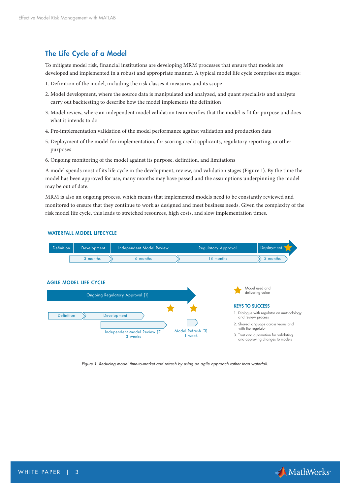# The Life Cycle of a Model

To mitigate model risk, financial institutions are developing MRM processes that ensure that models are developed and implemented in a robust and appropriate manner. A typical model life cycle comprises six stages:

- 1. Definition of the model, including the risk classes it measures and its scope
- 2. Model development, where the source data is manipulated and analyzed, and quant specialists and analysts carry out backtesting to describe how the model implements the definition
- 3. Model review, where an independent model validation team verifies that the model is fit for purpose and does what it intends to do
- 4. Pre-implementation validation of the model performance against validation and production data
- 5. Deployment of the model for implementation, for scoring credit applicants, regulatory reporting, or other purposes
- 6. Ongoing monitoring of the model against its purpose, definition, and limitations

A model spends most of its life cycle in the development, review, and validation stages (Figure 1). By the time the model has been approved for use, many months may have passed and the assumptions underpinning the model may be out of date.

MRM is also an ongoing process, which means that implemented models need to be constantly reviewed and monitored to ensure that they continue to work as designed and meet business needs. Given the complexity of the risk model life cycle, this leads to stretched resources, high costs, and slow implementation times.



*Figure 1. Reducing model time-to-market and refresh by using an agile approach rather than waterfall.*

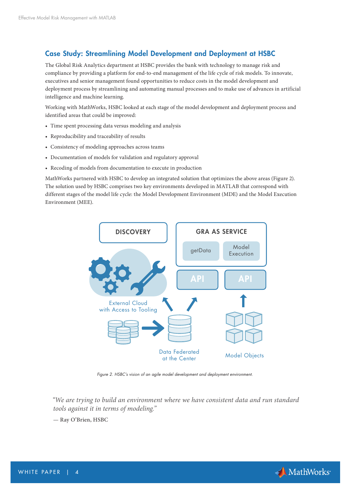# Case Study: Streamlining Model Development and Deployment at HSBC

The Global Risk Analytics department at HSBC provides the bank with technology to manage risk and compliance by providing a platform for end-to-end management of the life cycle of risk models. To innovate, executives and senior management found opportunities to reduce costs in the model development and deployment process by streamlining and automating manual processes and to make use of advances in artificial intelligence and machine learning.

Working with MathWorks, HSBC looked at each stage of the model development and deployment process and identified areas that could be improved:

- Time spent processing data versus modeling and analysis
- Reproducibility and traceability of results
- Consistency of modeling approaches across teams
- Documentation of models for validation and regulatory approval
- Recoding of models from documentation to execute in production

MathWorks partnered with HSBC to develop an integrated solution that optimizes the above areas (Figure 2). The solution used by HSBC comprises two key environments developed in MATLAB that correspond with different stages of the model life cycle: the Model Development Environment (MDE) and the Model Execution Environment (MEE).



*Figure 2. HSBC's vision of an agile model development and deployment environment.*

 *"We are trying to build an environment where we have consistent data and run standard tools against it in terms of modeling."*

**— Ray O'Brien, HSBC**

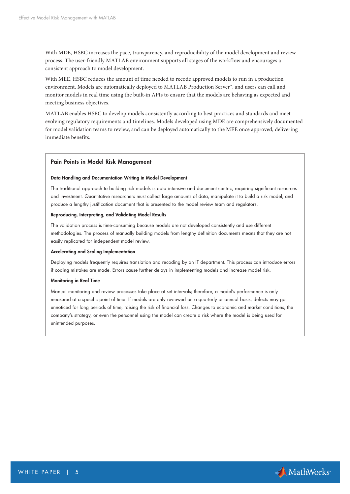With MDE, HSBC increases the pace, transparency, and reproducibility of the model development and review process. The user-friendly MATLAB environment supports all stages of the workflow and encourages a consistent approach to model development.

With MEE, HSBC reduces the amount of time needed to recode approved models to run in a production environment. Models are automatically deployed to MATLAB Production Server™, and users can call and monitor models in real time using the built-in APIs to ensure that the models are behaving as expected and meeting business objectives.

MATLAB enables HSBC to develop models consistently according to best practices and standards and meet evolving regulatory requirements and timelines. Models developed using MDE are comprehensively documented for model validation teams to review, and can be deployed automatically to the MEE once approved, delivering immediate benefits.

#### Pain Points in Model Risk Management

#### Data Handling and Documentation Writing in Model Development

The traditional approach to building risk models is data intensive and document centric, requiring significant resources and investment. Quantitative researchers must collect large amounts of data, manipulate it to build a risk model, and produce a lengthy justification document that is presented to the model review team and regulators.

#### Reproducing, Interpreting, and Validating Model Results

The validation process is time-consuming because models are not developed consistently and use different methodologies. The process of manually building models from lengthy definition documents means that they are not easily replicated for independent model review.

#### Accelerating and Scaling Implementation

Deploying models frequently requires translation and recoding by an IT department. This process can introduce errors if coding mistakes are made. Errors cause further delays in implementing models and increase model risk.

#### Monitoring in Real Time

Manual monitoring and review processes take place at set intervals; therefore, a model's performance is only measured at a specific point of time. If models are only reviewed on a quarterly or annual basis, defects may go unnoticed for long periods of time, raising the risk of financial loss. Changes to economic and market conditions, the company's strategy, or even the personnel using the model can create a risk where the model is being used for unintended purposes.

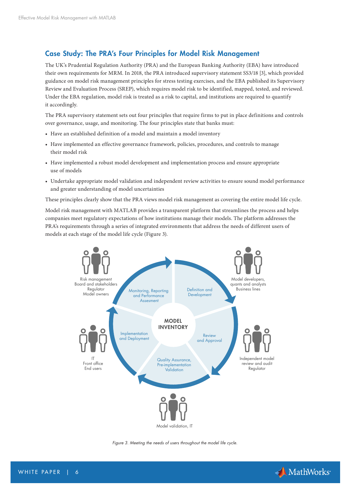# Case Study: The PRA's Four Principles for Model Risk Management

The UK's Prudential Regulation Authority (PRA) and the European Banking Authority (EBA) have introduced their own requirements for MRM. In 2018, the PRA introduced supervisory statement SS3/18 [3], which provided guidance on model risk management principles for stress testing exercises, and the EBA published its Supervisory Review and Evaluation Process (SREP), which requires model risk to be identified, mapped, tested, and reviewed. Under the EBA regulation, model risk is treated as a risk to capital, and institutions are required to quantify it accordingly.

The PRA supervisory statement sets out four principles that require firms to put in place definitions and controls over governance, usage, and monitoring. The four principles state that banks must:

- Have an established definition of a model and maintain a model inventory
- Have implemented an effective governance framework, policies, procedures, and controls to manage their model risk
- Have implemented a robust model development and implementation process and ensure appropriate use of models
- Undertake appropriate model validation and independent review activities to ensure sound model performance and greater understanding of model uncertainties

These principles clearly show that the PRA views model risk management as covering the entire model life cycle.

Model risk management with MATLAB provides a transparent platform that streamlines the process and helps companies meet regulatory expectations of how institutions manage their models. The platform addresses the PRA's requirements through a series of integrated environments that address the needs of different users of models at each stage of the model life cycle (Figure 3).



*Figure 3. Meeting the needs of users throughout the model life cycle.*

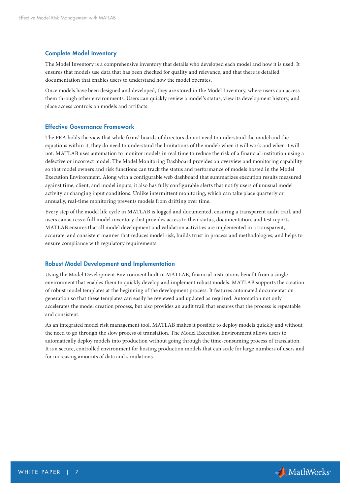## Complete Model Inventory

The Model Inventory is a comprehensive inventory that details who developed each model and how it is used. It ensures that models use data that has been checked for quality and relevance, and that there is detailed documentation that enables users to understand how the model operates.

Once models have been designed and developed, they are stored in the Model Inventory, where users can access them through other environments. Users can quickly review a model's status, view its development history, and place access controls on models and artifacts.

## Effective Governance Framework

The PRA holds the view that while firms' boards of directors do not need to understand the model and the equations within it, they do need to understand the limitations of the model: when it will work and when it will not. MATLAB uses automation to monitor models in real time to reduce the risk of a financial institution using a defective or incorrect model. The Model Monitoring Dashboard provides an overview and monitoring capability so that model owners and risk functions can track the status and performance of models hosted in the Model Execution Environment. Along with a configurable web dashboard that summarizes execution results measured against time, client, and model inputs, it also has fully configurable alerts that notify users of unusual model activity or changing input conditions. Unlike intermittent monitoring, which can take place quarterly or annually, real-time monitoring prevents models from drifting over time.

Every step of the model life cycle in MATLAB is logged and documented, ensuring a transparent audit trail, and users can access a full model inventory that provides access to their status, documentation, and test reports. MATLAB ensures that all model development and validation activities are implemented in a transparent, accurate, and consistent manner that reduces model risk, builds trust in process and methodologies, and helps to ensure compliance with regulatory requirements.

## Robust Model Development and Implementation

Using the Model Development Environment built in MATLAB, financial institutions benefit from a single environment that enables them to quickly develop and implement robust models. MATLAB supports the creation of robust model templates at the beginning of the development process. It features automated documentation generation so that these templates can easily be reviewed and updated as required. Automation not only accelerates the model creation process, but also provides an audit trail that ensures that the process is repeatable and consistent.

As an integrated model risk management tool, MATLAB makes it possible to deploy models quickly and without the need to go through the slow process of translation. The Model Execution Environment allows users to automatically deploy models into production without going through the time-consuming process of translation. It is a secure, controlled environment for hosting production models that can scale for large numbers of users and for increasing amounts of data and simulations.